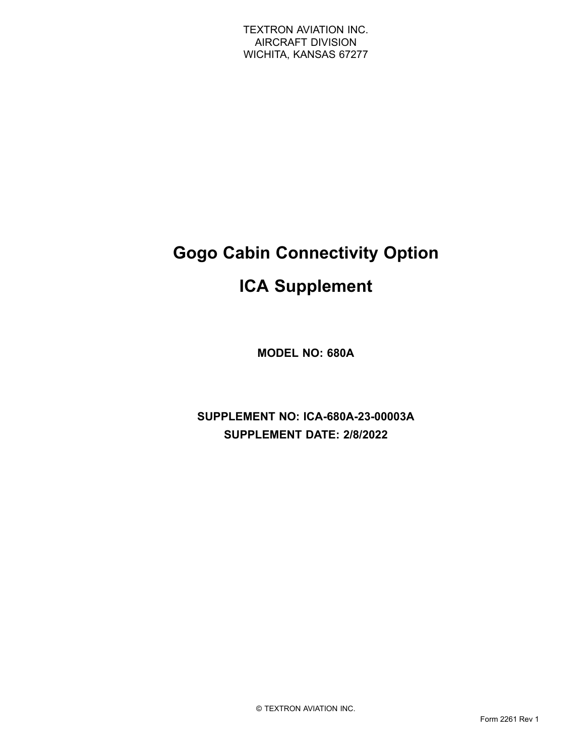# **Gogo Cabin Connectivity Option**

# **ICA Supplement**

**MODEL NO: 680A**

**SUPPLEMENT NO: ICA-680A-23-00003A SUPPLEMENT DATE: 2/8/2022**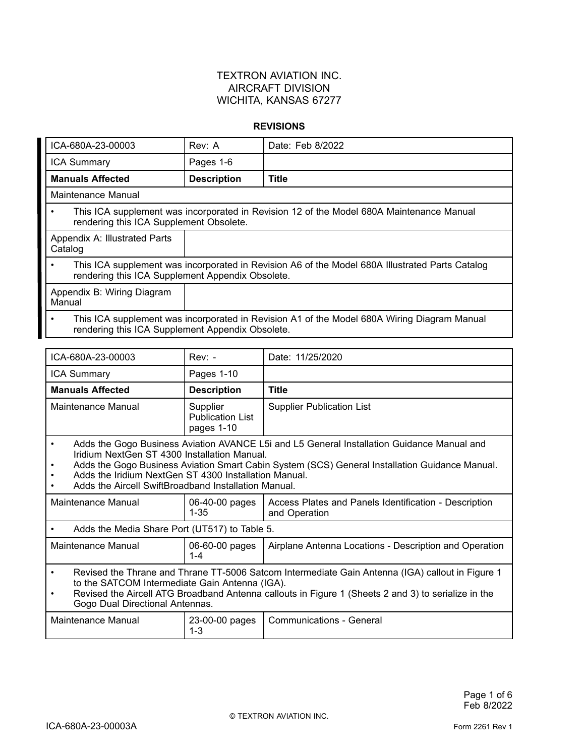#### **REVISIONS**

| ICA-680A-23-00003                                                                                                                                                | Rev: A             | Date: Feb 8/2022 |
|------------------------------------------------------------------------------------------------------------------------------------------------------------------|--------------------|------------------|
| <b>ICA Summary</b>                                                                                                                                               | Pages 1-6          |                  |
| <b>Manuals Affected</b>                                                                                                                                          | <b>Description</b> | <b>Title</b>     |
| Maintenance Manual                                                                                                                                               |                    |                  |
| This ICA supplement was incorporated in Revision 12 of the Model 680A Maintenance Manual<br>$\bullet$<br>rendering this ICA Supplement Obsolete.                 |                    |                  |
| Appendix A: Illustrated Parts<br>Catalog                                                                                                                         |                    |                  |
| This ICA supplement was incorporated in Revision A6 of the Model 680A Illustrated Parts Catalog<br>$\bullet$<br>rendering this ICA Supplement Appendix Obsolete. |                    |                  |
| Appendix B: Wiring Diagram<br>Manual                                                                                                                             |                    |                  |
| This ICA supplement was incorporated in Revision A1 of the Model 680A Wiring Diagram Manual<br>$\bullet$<br>rendering this ICA Supplement Appendix Obsolete.     |                    |                  |

| ICA-680A-23-00003                                                                                                                                                                                                                                                                                                                                                          | $Rev: -$                                          | Date: 11/25/2020                                                       |
|----------------------------------------------------------------------------------------------------------------------------------------------------------------------------------------------------------------------------------------------------------------------------------------------------------------------------------------------------------------------------|---------------------------------------------------|------------------------------------------------------------------------|
| <b>ICA Summary</b>                                                                                                                                                                                                                                                                                                                                                         | Pages 1-10                                        |                                                                        |
| <b>Manuals Affected</b>                                                                                                                                                                                                                                                                                                                                                    | <b>Description</b>                                | <b>Title</b>                                                           |
| Maintenance Manual                                                                                                                                                                                                                                                                                                                                                         | Supplier<br><b>Publication List</b><br>pages 1-10 | <b>Supplier Publication List</b>                                       |
| Adds the Gogo Business Aviation AVANCE L5i and L5 General Installation Guidance Manual and<br>$\bullet$<br>Iridium NextGen ST 4300 Installation Manual.<br>Adds the Gogo Business Aviation Smart Cabin System (SCS) General Installation Guidance Manual.<br>Adds the Iridium NextGen ST 4300 Installation Manual.<br>Adds the Aircell SwiftBroadband Installation Manual. |                                                   |                                                                        |
| Maintenance Manual                                                                                                                                                                                                                                                                                                                                                         | 06-40-00 pages<br>$1 - 35$                        | Access Plates and Panels Identification - Description<br>and Operation |
| Adds the Media Share Port (UT517) to Table 5.<br>٠                                                                                                                                                                                                                                                                                                                         |                                                   |                                                                        |
| Maintenance Manual                                                                                                                                                                                                                                                                                                                                                         | 06-60-00 pages<br>$1 - 4$                         | Airplane Antenna Locations - Description and Operation                 |
| Revised the Thrane and Thrane TT-5006 Satcom Intermediate Gain Antenna (IGA) callout in Figure 1<br>$\bullet$<br>to the SATCOM Intermediate Gain Antenna (IGA).<br>Revised the Aircell ATG Broadband Antenna callouts in Figure 1 (Sheets 2 and 3) to serialize in the<br>$\bullet$<br>Gogo Dual Directional Antennas.                                                     |                                                   |                                                                        |
| Maintenance Manual                                                                                                                                                                                                                                                                                                                                                         | 23-00-00 pages<br>1-3                             | <b>Communications - General</b>                                        |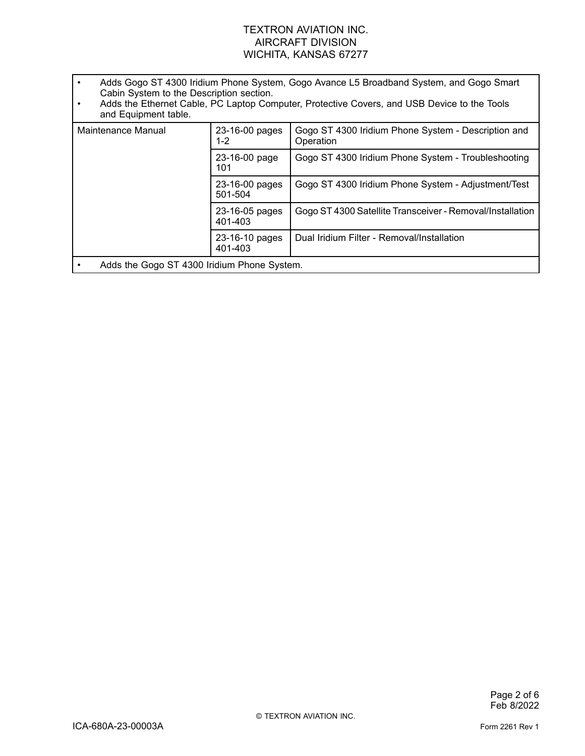- • Adds Gogo ST 4300 Iridium Phone System, Gogo Avance L5 Broadband System, and Gogo Smart Cabin System to the Description section.
- • Adds the Ethernet Cable, PC Laptop Computer, Protective Covers, and USB Device to the Tools and Equipment table.

| Maintenance Manual                          | 23-16-00 pages<br>1-2     | Gogo ST 4300 Iridium Phone System - Description and<br>Operation |
|---------------------------------------------|---------------------------|------------------------------------------------------------------|
|                                             | 23-16-00 page<br>101      | Gogo ST 4300 Iridium Phone System - Troubleshooting              |
|                                             | 23-16-00 pages<br>501-504 | Gogo ST 4300 Iridium Phone System - Adjustment/Test              |
|                                             | 23-16-05 pages<br>401-403 | Gogo ST 4300 Satellite Transceiver - Removal/Installation        |
|                                             | 23-16-10 pages<br>401-403 | Dual Iridium Filter - Removal/Installation                       |
| Adds the Gogo ST 4300 Iridium Phone System. |                           |                                                                  |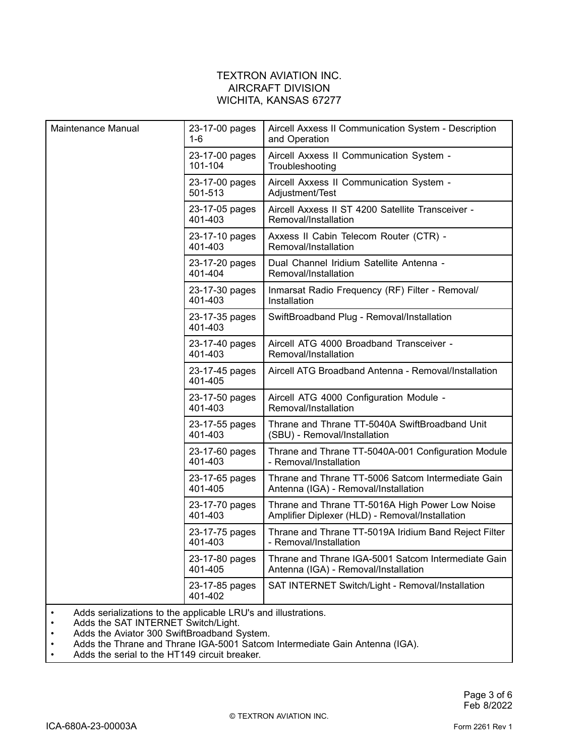| Maintenance Manual | 23-17-00 pages<br>1-6     | Aircell Axxess II Communication System - Description<br>and Operation                              |
|--------------------|---------------------------|----------------------------------------------------------------------------------------------------|
|                    | 23-17-00 pages<br>101-104 | Aircell Axxess II Communication System -<br>Troubleshooting                                        |
|                    | 23-17-00 pages<br>501-513 | Aircell Axxess II Communication System -<br>Adjustment/Test                                        |
|                    | 23-17-05 pages<br>401-403 | Aircell Axxess II ST 4200 Satellite Transceiver -<br>Removal/Installation                          |
|                    | 23-17-10 pages<br>401-403 | Axxess II Cabin Telecom Router (CTR) -<br>Removal/Installation                                     |
|                    | 23-17-20 pages<br>401-404 | Dual Channel Iridium Satellite Antenna -<br>Removal/Installation                                   |
|                    | 23-17-30 pages<br>401-403 | Inmarsat Radio Frequency (RF) Filter - Removal/<br>Installation                                    |
|                    | 23-17-35 pages<br>401-403 | SwiftBroadband Plug - Removal/Installation                                                         |
|                    | 23-17-40 pages<br>401-403 | Aircell ATG 4000 Broadband Transceiver -<br>Removal/Installation                                   |
|                    | 23-17-45 pages<br>401-405 | Aircell ATG Broadband Antenna - Removal/Installation                                               |
|                    | 23-17-50 pages<br>401-403 | Aircell ATG 4000 Configuration Module -<br>Removal/Installation                                    |
|                    | 23-17-55 pages<br>401-403 | Thrane and Thrane TT-5040A SwiftBroadband Unit<br>(SBU) - Removal/Installation                     |
|                    | 23-17-60 pages<br>401-403 | Thrane and Thrane TT-5040A-001 Configuration Module<br>- Removal/Installation                      |
|                    | 23-17-65 pages<br>401-405 | Thrane and Thrane TT-5006 Satcom Intermediate Gain<br>Antenna (IGA) - Removal/Installation         |
|                    | 23-17-70 pages<br>401-403 | Thrane and Thrane TT-5016A High Power Low Noise<br>Amplifier Diplexer (HLD) - Removal/Installation |
|                    | 23-17-75 pages<br>401-403 | Thrane and Thrane TT-5019A Iridium Band Reject Filter<br>- Removal/Installation                    |
|                    | 23-17-80 pages<br>401-405 | Thrane and Thrane IGA-5001 Satcom Intermediate Gain<br>Antenna (IGA) - Removal/Installation        |
|                    | 23-17-85 pages<br>401-402 | SAT INTERNET Switch/Light - Removal/Installation                                                   |

- •Adds serializations to the applicable LRU's and illustrations.
- •• Adds the SAT INTERNET Switch/Light.
- •Adds the Aviator 300 SwiftBroadband System.
- •Adds the Thrane and Thrane IGA-5001 Satcom Intermediate Gain Antenna (IGA).
- •Adds the serial to the HT149 circuit breaker.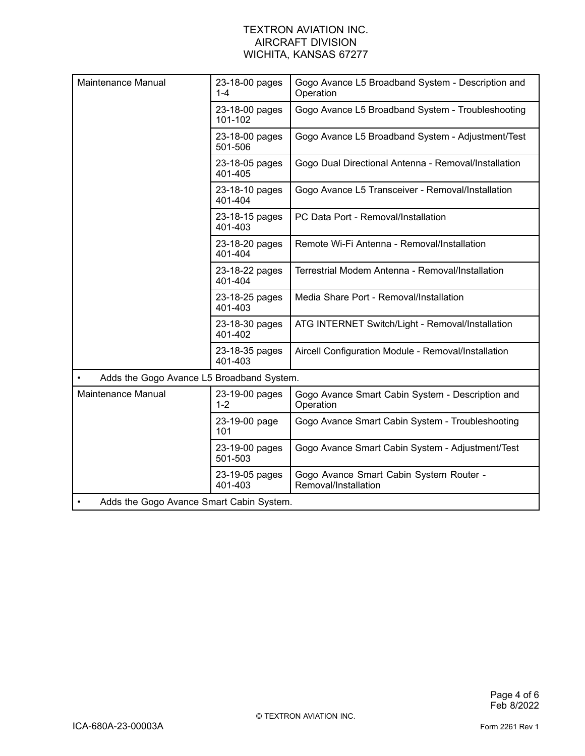| Maintenance Manual                        | 23-18-00 pages<br>$1 - 4$ | Gogo Avance L5 Broadband System - Description and<br>Operation  |
|-------------------------------------------|---------------------------|-----------------------------------------------------------------|
|                                           | 23-18-00 pages<br>101-102 | Gogo Avance L5 Broadband System - Troubleshooting               |
|                                           | 23-18-00 pages<br>501-506 | Gogo Avance L5 Broadband System - Adjustment/Test               |
|                                           | 23-18-05 pages<br>401-405 | Gogo Dual Directional Antenna - Removal/Installation            |
|                                           | 23-18-10 pages<br>401-404 | Gogo Avance L5 Transceiver - Removal/Installation               |
|                                           | 23-18-15 pages<br>401-403 | PC Data Port - Removal/Installation                             |
|                                           | 23-18-20 pages<br>401-404 | Remote Wi-Fi Antenna - Removal/Installation                     |
|                                           | 23-18-22 pages<br>401-404 | Terrestrial Modem Antenna - Removal/Installation                |
|                                           | 23-18-25 pages<br>401-403 | Media Share Port - Removal/Installation                         |
|                                           | 23-18-30 pages<br>401-402 | ATG INTERNET Switch/Light - Removal/Installation                |
|                                           | 23-18-35 pages<br>401-403 | Aircell Configuration Module - Removal/Installation             |
| Adds the Gogo Avance L5 Broadband System. |                           |                                                                 |
| Maintenance Manual                        | 23-19-00 pages<br>$1 - 2$ | Gogo Avance Smart Cabin System - Description and<br>Operation   |
|                                           | 23-19-00 page<br>101      | Gogo Avance Smart Cabin System - Troubleshooting                |
|                                           | 23-19-00 pages<br>501-503 | Gogo Avance Smart Cabin System - Adjustment/Test                |
|                                           | 23-19-05 pages<br>401-403 | Gogo Avance Smart Cabin System Router -<br>Removal/Installation |
| Adds the Gogo Avance Smart Cabin System.  |                           |                                                                 |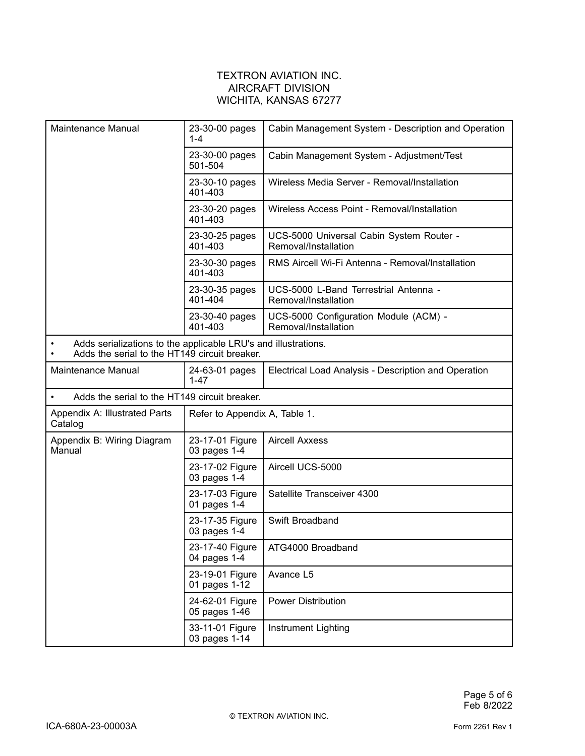| Maintenance Manual                                                                                              | 23-30-00 pages<br>$1 - 4$        | Cabin Management System - Description and Operation              |
|-----------------------------------------------------------------------------------------------------------------|----------------------------------|------------------------------------------------------------------|
|                                                                                                                 | 23-30-00 pages<br>501-504        | Cabin Management System - Adjustment/Test                        |
|                                                                                                                 | 23-30-10 pages<br>401-403        | Wireless Media Server - Removal/Installation                     |
|                                                                                                                 | 23-30-20 pages<br>401-403        | Wireless Access Point - Removal/Installation                     |
|                                                                                                                 | 23-30-25 pages<br>401-403        | UCS-5000 Universal Cabin System Router -<br>Removal/Installation |
|                                                                                                                 | 23-30-30 pages<br>401-403        | RMS Aircell Wi-Fi Antenna - Removal/Installation                 |
|                                                                                                                 | 23-30-35 pages<br>401-404        | UCS-5000 L-Band Terrestrial Antenna -<br>Removal/Installation    |
|                                                                                                                 | 23-30-40 pages<br>401-403        | UCS-5000 Configuration Module (ACM) -<br>Removal/Installation    |
| Adds serializations to the applicable LRU's and illustrations.<br>Adds the serial to the HT149 circuit breaker. |                                  |                                                                  |
| Maintenance Manual                                                                                              | 24-63-01 pages<br>$1 - 47$       | Electrical Load Analysis - Description and Operation             |
| Adds the serial to the HT149 circuit breaker.<br>$\bullet$                                                      |                                  |                                                                  |
| Appendix A: Illustrated Parts<br>Catalog                                                                        | Refer to Appendix A, Table 1.    |                                                                  |
| Appendix B: Wiring Diagram<br>Manual                                                                            | 23-17-01 Figure<br>03 pages 1-4  | <b>Aircell Axxess</b>                                            |
|                                                                                                                 | 23-17-02 Figure<br>03 pages 1-4  | Aircell UCS-5000                                                 |
|                                                                                                                 | 23-17-03 Figure<br>01 pages 1-4  | Satellite Transceiver 4300                                       |
|                                                                                                                 | 23-17-35 Figure<br>03 pages 1-4  | Swift Broadband                                                  |
|                                                                                                                 | 23-17-40 Figure<br>04 pages 1-4  | ATG4000 Broadband                                                |
|                                                                                                                 | 23-19-01 Figure<br>01 pages 1-12 | Avance L5                                                        |
|                                                                                                                 | 24-62-01 Figure<br>05 pages 1-46 | <b>Power Distribution</b>                                        |
|                                                                                                                 | 33-11-01 Figure<br>03 pages 1-14 | Instrument Lighting                                              |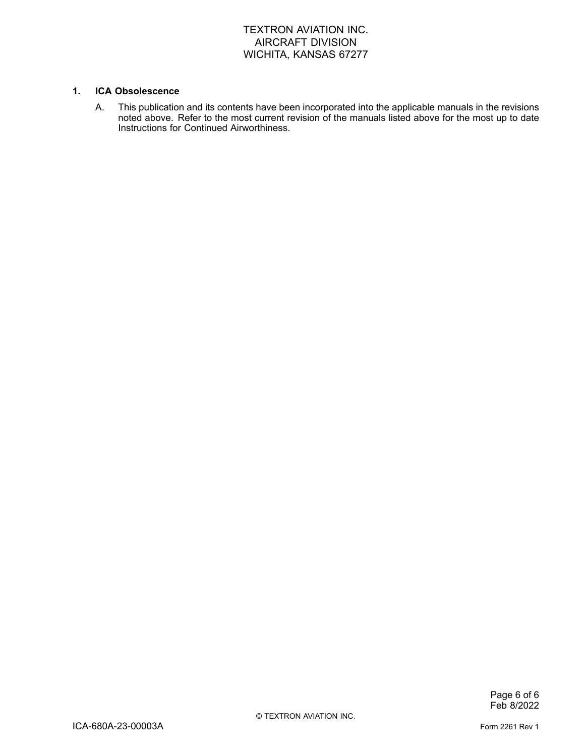#### **1. ICA Obsolescence**

A. This publication and its contents have been incorporated into the applicable manuals in the revisions noted above. Refer to the most current revision of the manuals listed above for the most up to date Instructions for Continued Airworthiness.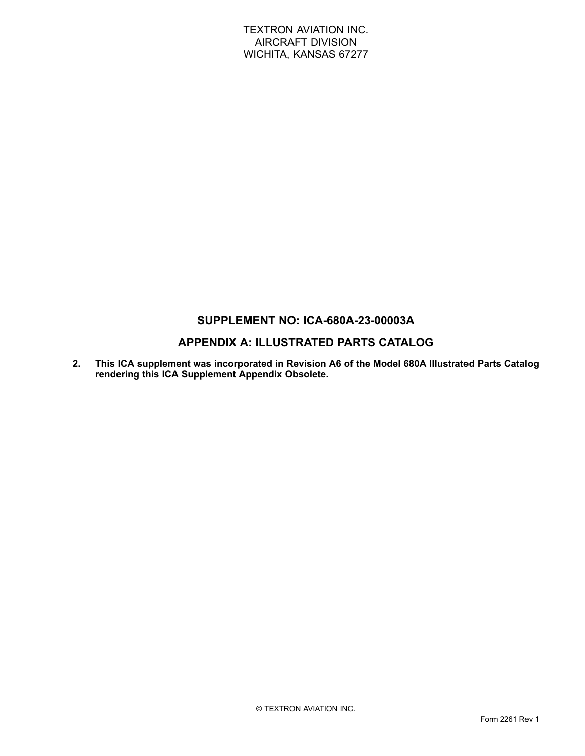# **SUPPLEMENT NO: ICA-680A-23-00003A**

# **APPENDIX A: ILLUSTRATED PARTS CATALOG**

**2. This ICA supplement was incorporated in Revision A6 of the Model 680A Illustrated Parts Catalog rendering this ICA Supplement Appendix Obsolete.**